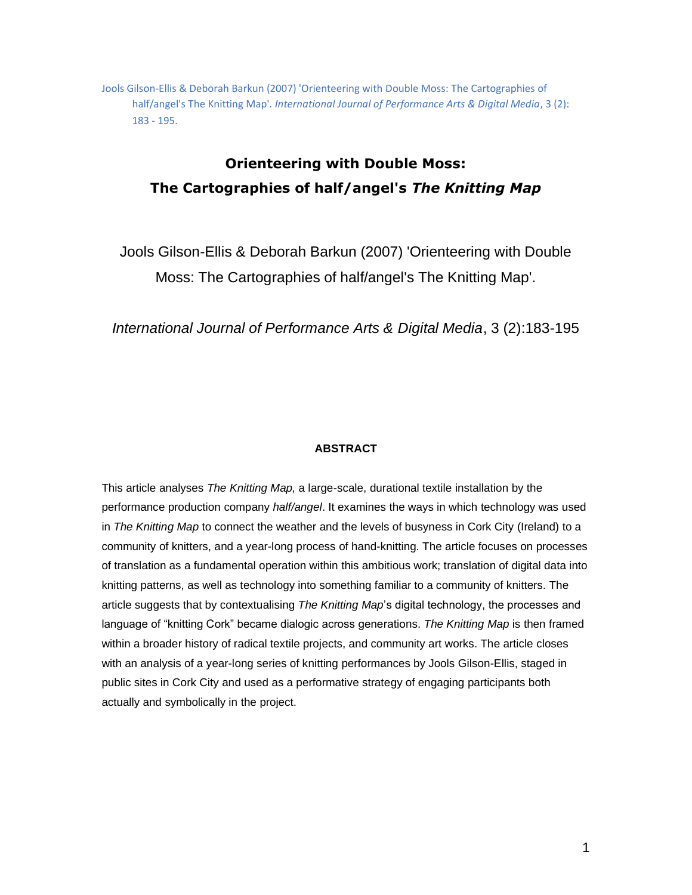Jools Gilson-Ellis & Deborah Barkun (2007) 'Orienteering with Double Moss: The Cartographies of half/angel's The Knitting Map'. *International Journal of Performance Arts & Digital Media*, 3 (2): 183 - 195.

# **Orienteering with Double Moss: The Cartographies of half/angel's** *The Knitting Map*

Jools Gilson-Ellis & Deborah Barkun (2007) 'Orienteering with Double Moss: The Cartographies of half/angel's The Knitting Map'.

*International Journal of Performance Arts & Digital Media*, 3 (2):183-195

# **ABSTRACT**

This article analyses *The Knitting Map,* a large-scale, durational textile installation by the performance production company *half/angel*. It examines the ways in which technology was used in *The Knitting Map* to connect the weather and the levels of busyness in Cork City (Ireland) to a community of knitters, and a year-long process of hand-knitting. The article focuses on processes of translation as a fundamental operation within this ambitious work; translation of digital data into knitting patterns, as well as technology into something familiar to a community of knitters. The article suggests that by contextualising *The Knitting Map*'s digital technology, the processes and language of "knitting Cork" became dialogic across generations. *The Knitting Map* is then framed within a broader history of radical textile projects, and community art works. The article closes with an analysis of a year-long series of knitting performances by Jools Gilson-Ellis, staged in public sites in Cork City and used as a performative strategy of engaging participants both actually and symbolically in the project.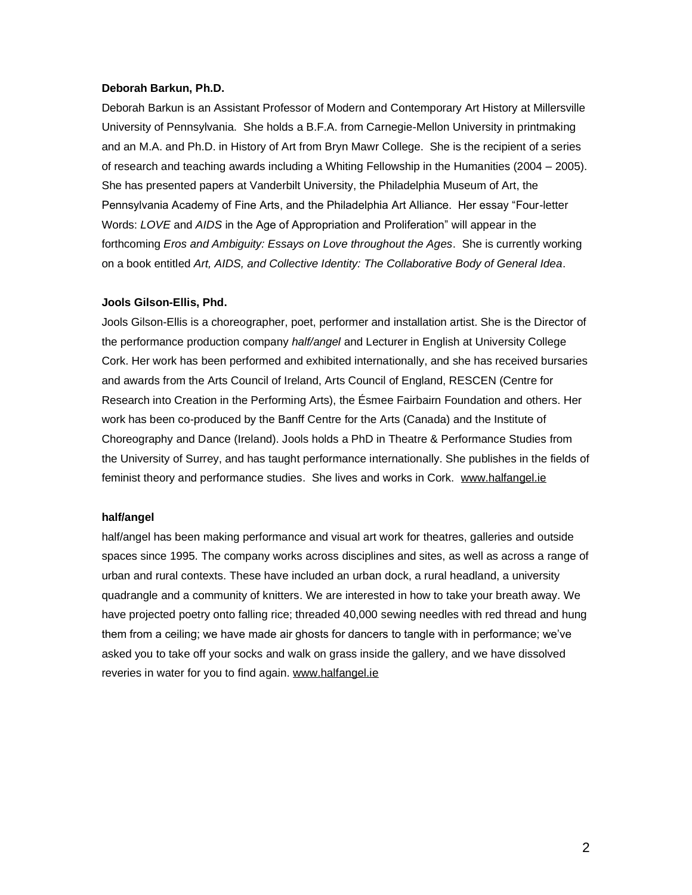### **Deborah Barkun, Ph.D.**

Deborah Barkun is an Assistant Professor of Modern and Contemporary Art History at Millersville University of Pennsylvania. She holds a B.F.A. from Carnegie-Mellon University in printmaking and an M.A. and Ph.D. in History of Art from Bryn Mawr College. She is the recipient of a series of research and teaching awards including a Whiting Fellowship in the Humanities (2004 – 2005). She has presented papers at Vanderbilt University, the Philadelphia Museum of Art, the Pennsylvania Academy of Fine Arts, and the Philadelphia Art Alliance. Her essay "Four-letter Words: *LOVE* and *AIDS* in the Age of Appropriation and Proliferation" will appear in the forthcoming *Eros and Ambiguity: Essays on Love throughout the Ages*. She is currently working on a book entitled *Art, AIDS, and Collective Identity: The Collaborative Body of General Idea*.

## **Jools Gilson-Ellis, Phd.**

Jools Gilson-Ellis is a choreographer, poet, performer and installation artist. She is the Director of the performance production company *half/angel* and Lecturer in English at University College Cork. Her work has been performed and exhibited internationally, and she has received bursaries and awards from the Arts Council of Ireland, Arts Council of England, RESCEN (Centre for Research into Creation in the Performing Arts), the Ésmee Fairbairn Foundation and others. Her work has been co-produced by the Banff Centre for the Arts (Canada) and the Institute of Choreography and Dance (Ireland). Jools holds a PhD in Theatre & Performance Studies from the University of Surrey, and has taught performance internationally. She publishes in the fields of feminist theory and performance studies. She lives and works in Cork. [www.halfangel.ie](http://www.halfangel.ie/)

# **half/angel**

half/angel has been making performance and visual art work for theatres, galleries and outside spaces since 1995. The company works across disciplines and sites, as well as across a range of urban and rural contexts. These have included an urban dock, a rural headland, a university quadrangle and a community of knitters. We are interested in how to take your breath away. We have projected poetry onto falling rice; threaded 40,000 sewing needles with red thread and hung them from a ceiling; we have made air ghosts for dancers to tangle with in performance; we've asked you to take off your socks and walk on grass inside the gallery, and we have dissolved reveries in water for you to find again. [www.halfangel.ie](http://www.halfangel.ie/)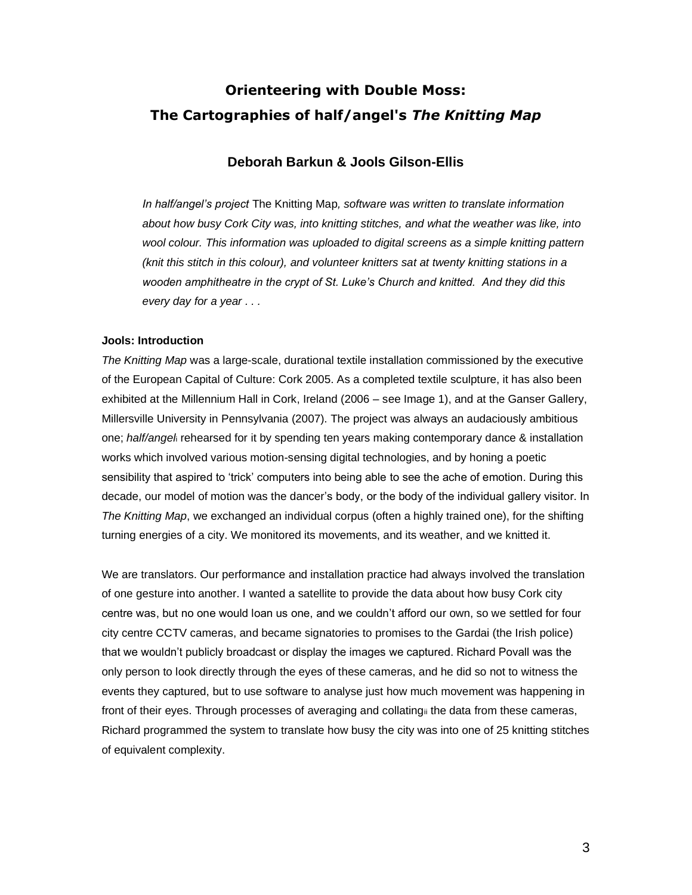# **Orienteering with Double Moss: The Cartographies of half/angel's** *The Knitting Map*

# **Deborah Barkun & Jools Gilson-Ellis**

*In half/angel's project* The Knitting Map*, software was written to translate information about how busy Cork City was, into knitting stitches, and what the weather was like, into wool colour. This information was uploaded to digital screens as a simple knitting pattern (knit this stitch in this colour), and volunteer knitters sat at twenty knitting stations in a wooden amphitheatre in the crypt of St. Luke's Church and knitted. And they did this every day for a year . . .*

# **Jools: Introduction**

*The Knitting Map* was a large-scale, durational textile installation commissioned by the executive of the European Capital of Culture: Cork 2005. As a completed textile sculpture, it has also been exhibited at the Millennium Hall in Cork, Ireland (2006 – see Image 1), and at the Ganser Gallery, Millersville University in Pennsylvania (2007). The project was always an audaciously ambitious one; *half/angel*<sup>i</sup> rehearsed for it by spending ten years making contemporary dance & installation works which involved various motion-sensing digital technologies, and by honing a poetic sensibility that aspired to 'trick' computers into being able to see the ache of emotion. During this decade, our model of motion was the dancer's body, or the body of the individual gallery visitor. In *The Knitting Map*, we exchanged an individual corpus (often a highly trained one), for the shifting turning energies of a city. We monitored its movements, and its weather, and we knitted it.

We are translators. Our performance and installation practice had always involved the translation of one gesture into another. I wanted a satellite to provide the data about how busy Cork city centre was, but no one would loan us one, and we couldn't afford our own, so we settled for four city centre CCTV cameras, and became signatories to promises to the Gardai (the Irish police) that we wouldn't publicly broadcast or display the images we captured. Richard Povall was the only person to look directly through the eyes of these cameras, and he did so not to witness the events they captured, but to use software to analyse just how much movement was happening in front of their eyes. Through processes of averaging and collatingii the data from these cameras, Richard programmed the system to translate how busy the city was into one of 25 knitting stitches of equivalent complexity.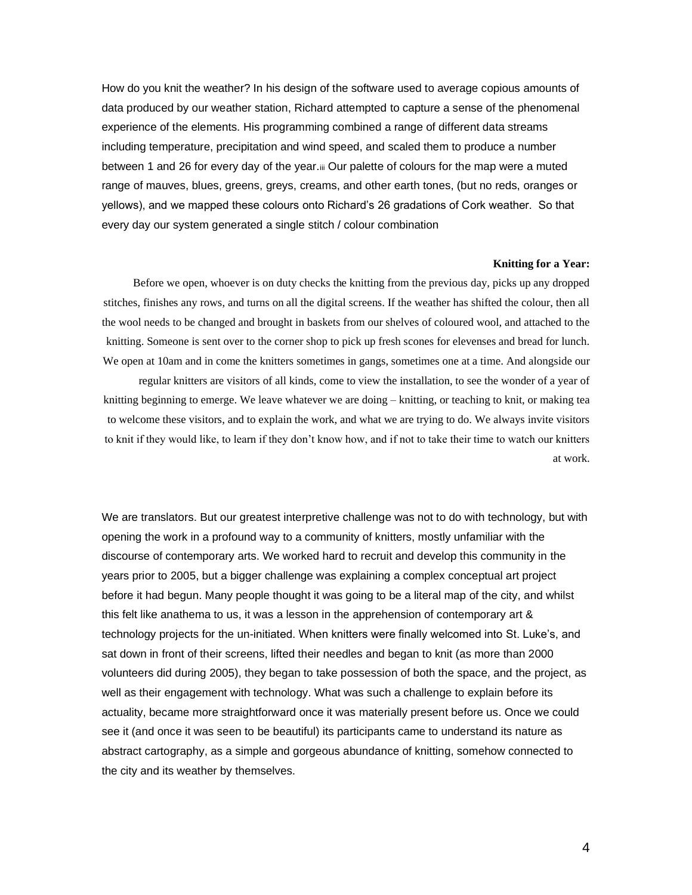How do you knit the weather? In his design of the software used to average copious amounts of data produced by our weather station, Richard attempted to capture a sense of the phenomenal experience of the elements. His programming combined a range of different data streams including temperature, precipitation and wind speed, and scaled them to produce a number between 1 and 26 for every day of the year.iii Our palette of colours for the map were a muted range of mauves, blues, greens, greys, creams, and other earth tones, (but no reds, oranges or yellows), and we mapped these colours onto Richard's 26 gradations of Cork weather. So that every day our system generated a single stitch / colour combination

#### **Knitting for a Year:**

Before we open, whoever is on duty checks the knitting from the previous day, picks up any dropped stitches, finishes any rows, and turns on all the digital screens. If the weather has shifted the colour, then all the wool needs to be changed and brought in baskets from our shelves of coloured wool, and attached to the knitting. Someone is sent over to the corner shop to pick up fresh scones for elevenses and bread for lunch. We open at 10am and in come the knitters sometimes in gangs, sometimes one at a time. And alongside our

regular knitters are visitors of all kinds, come to view the installation, to see the wonder of a year of knitting beginning to emerge. We leave whatever we are doing – knitting, or teaching to knit, or making tea to welcome these visitors, and to explain the work, and what we are trying to do. We always invite visitors to knit if they would like, to learn if they don't know how, and if not to take their time to watch our knitters at work.

We are translators. But our greatest interpretive challenge was not to do with technology, but with opening the work in a profound way to a community of knitters, mostly unfamiliar with the discourse of contemporary arts. We worked hard to recruit and develop this community in the years prior to 2005, but a bigger challenge was explaining a complex conceptual art project before it had begun. Many people thought it was going to be a literal map of the city, and whilst this felt like anathema to us, it was a lesson in the apprehension of contemporary art & technology projects for the un-initiated. When knitters were finally welcomed into St. Luke's, and sat down in front of their screens, lifted their needles and began to knit (as more than 2000 volunteers did during 2005), they began to take possession of both the space, and the project, as well as their engagement with technology. What was such a challenge to explain before its actuality, became more straightforward once it was materially present before us. Once we could see it (and once it was seen to be beautiful) its participants came to understand its nature as abstract cartography, as a simple and gorgeous abundance of knitting, somehow connected to the city and its weather by themselves.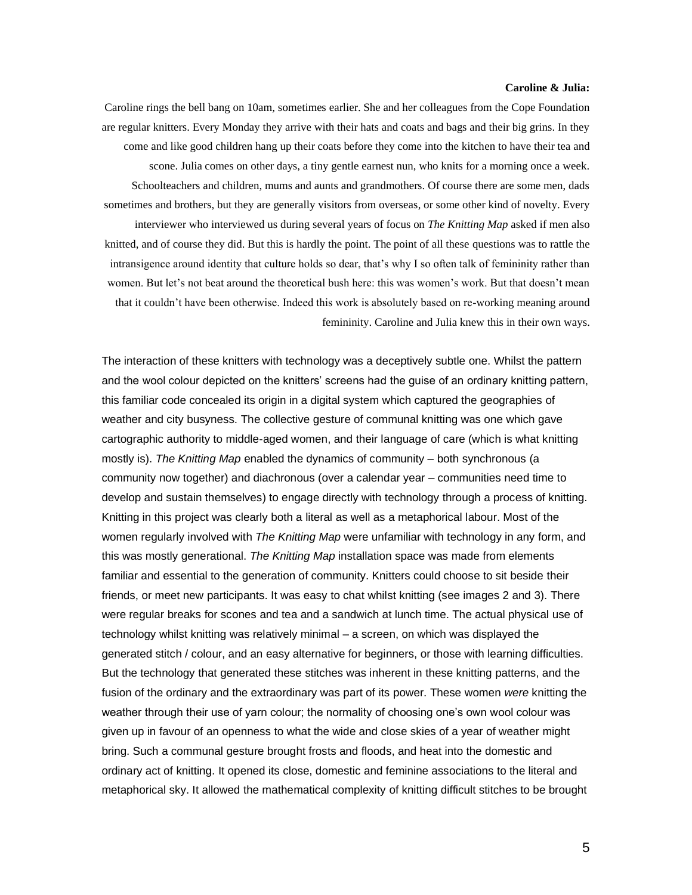## **Caroline & Julia:**

Caroline rings the bell bang on 10am, sometimes earlier. She and her colleagues from the Cope Foundation are regular knitters. Every Monday they arrive with their hats and coats and bags and their big grins. In they come and like good children hang up their coats before they come into the kitchen to have their tea and scone. Julia comes on other days, a tiny gentle earnest nun, who knits for a morning once a week. Schoolteachers and children, mums and aunts and grandmothers. Of course there are some men, dads sometimes and brothers, but they are generally visitors from overseas, or some other kind of novelty. Every interviewer who interviewed us during several years of focus on *The Knitting Map* asked if men also knitted, and of course they did. But this is hardly the point. The point of all these questions was to rattle the intransigence around identity that culture holds so dear, that's why I so often talk of femininity rather than women. But let's not beat around the theoretical bush here: this was women's work. But that doesn't mean that it couldn't have been otherwise. Indeed this work is absolutely based on re-working meaning around femininity. Caroline and Julia knew this in their own ways.

The interaction of these knitters with technology was a deceptively subtle one. Whilst the pattern and the wool colour depicted on the knitters' screens had the guise of an ordinary knitting pattern, this familiar code concealed its origin in a digital system which captured the geographies of weather and city busyness. The collective gesture of communal knitting was one which gave cartographic authority to middle-aged women, and their language of care (which is what knitting mostly is). *The Knitting Map* enabled the dynamics of community – both synchronous (a community now together) and diachronous (over a calendar year – communities need time to develop and sustain themselves) to engage directly with technology through a process of knitting. Knitting in this project was clearly both a literal as well as a metaphorical labour. Most of the women regularly involved with *The Knitting Map* were unfamiliar with technology in any form, and this was mostly generational. *The Knitting Map* installation space was made from elements familiar and essential to the generation of community. Knitters could choose to sit beside their friends, or meet new participants. It was easy to chat whilst knitting (see images 2 and 3). There were regular breaks for scones and tea and a sandwich at lunch time. The actual physical use of technology whilst knitting was relatively minimal – a screen, on which was displayed the generated stitch / colour, and an easy alternative for beginners, or those with learning difficulties. But the technology that generated these stitches was inherent in these knitting patterns, and the fusion of the ordinary and the extraordinary was part of its power. These women *were* knitting the weather through their use of yarn colour; the normality of choosing one's own wool colour was given up in favour of an openness to what the wide and close skies of a year of weather might bring. Such a communal gesture brought frosts and floods, and heat into the domestic and ordinary act of knitting. It opened its close, domestic and feminine associations to the literal and metaphorical sky. It allowed the mathematical complexity of knitting difficult stitches to be brought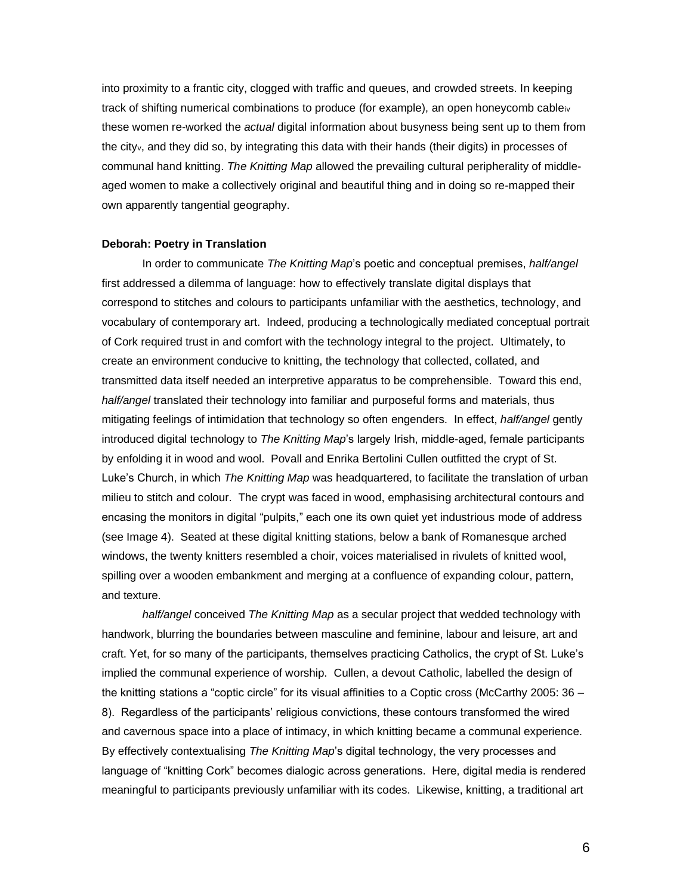into proximity to a frantic city, clogged with traffic and queues, and crowded streets. In keeping track of shifting numerical combinations to produce (for example), an open honeycomb cable $w$ these women re-worked the *actual* digital information about busyness being sent up to them from the cityv, and they did so, by integrating this data with their hands (their digits) in processes of communal hand knitting. *The Knitting Map* allowed the prevailing cultural peripherality of middleaged women to make a collectively original and beautiful thing and in doing so re-mapped their own apparently tangential geography.

#### **Deborah: Poetry in Translation**

In order to communicate *The Knitting Map*'s poetic and conceptual premises, *half/angel* first addressed a dilemma of language: how to effectively translate digital displays that correspond to stitches and colours to participants unfamiliar with the aesthetics, technology, and vocabulary of contemporary art. Indeed, producing a technologically mediated conceptual portrait of Cork required trust in and comfort with the technology integral to the project. Ultimately, to create an environment conducive to knitting, the technology that collected, collated, and transmitted data itself needed an interpretive apparatus to be comprehensible. Toward this end, *half/angel* translated their technology into familiar and purposeful forms and materials, thus mitigating feelings of intimidation that technology so often engenders. In effect, *half/angel* gently introduced digital technology to *The Knitting Map*'s largely Irish, middle-aged, female participants by enfolding it in wood and wool. Povall and Enrika Bertolini Cullen outfitted the crypt of St. Luke's Church, in which *The Knitting Map* was headquartered, to facilitate the translation of urban milieu to stitch and colour. The crypt was faced in wood, emphasising architectural contours and encasing the monitors in digital "pulpits," each one its own quiet yet industrious mode of address (see Image 4). Seated at these digital knitting stations, below a bank of Romanesque arched windows, the twenty knitters resembled a choir, voices materialised in rivulets of knitted wool, spilling over a wooden embankment and merging at a confluence of expanding colour, pattern, and texture.

*half/angel* conceived *The Knitting Map* as a secular project that wedded technology with handwork, blurring the boundaries between masculine and feminine, labour and leisure, art and craft. Yet, for so many of the participants, themselves practicing Catholics, the crypt of St. Luke's implied the communal experience of worship. Cullen, a devout Catholic, labelled the design of the knitting stations a "coptic circle" for its visual affinities to a Coptic cross (McCarthy 2005: 36 – 8). Regardless of the participants' religious convictions, these contours transformed the wired and cavernous space into a place of intimacy, in which knitting became a communal experience. By effectively contextualising *The Knitting Map*'s digital technology, the very processes and language of "knitting Cork" becomes dialogic across generations. Here, digital media is rendered meaningful to participants previously unfamiliar with its codes. Likewise, knitting, a traditional art

6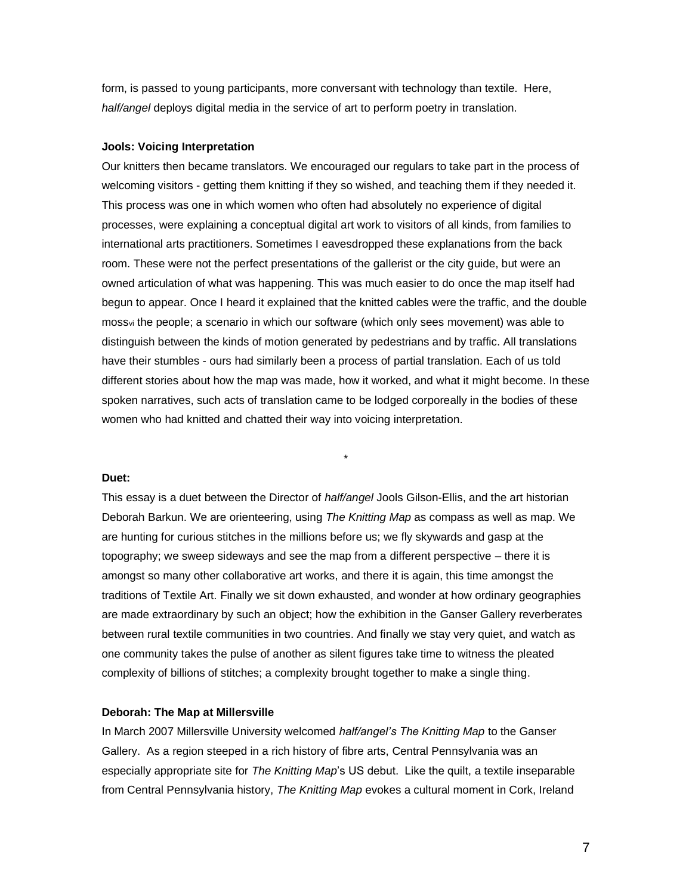form, is passed to young participants, more conversant with technology than textile. Here, *half/angel* deploys digital media in the service of art to perform poetry in translation.

### **Jools: Voicing Interpretation**

Our knitters then became translators. We encouraged our regulars to take part in the process of welcoming visitors - getting them knitting if they so wished, and teaching them if they needed it. This process was one in which women who often had absolutely no experience of digital processes, were explaining a conceptual digital art work to visitors of all kinds, from families to international arts practitioners. Sometimes I eavesdropped these explanations from the back room. These were not the perfect presentations of the gallerist or the city guide, but were an owned articulation of what was happening. This was much easier to do once the map itself had begun to appear. Once I heard it explained that the knitted cables were the traffic, and the double mossvi the people; a scenario in which our software (which only sees movement) was able to distinguish between the kinds of motion generated by pedestrians and by traffic. All translations have their stumbles - ours had similarly been a process of partial translation. Each of us told different stories about how the map was made, how it worked, and what it might become. In these spoken narratives, such acts of translation came to be lodged corporeally in the bodies of these women who had knitted and chatted their way into voicing interpretation.

# **Duet:**

This essay is a duet between the Director of *half/angel* Jools Gilson-Ellis, and the art historian Deborah Barkun. We are orienteering, using *The Knitting Map* as compass as well as map. We are hunting for curious stitches in the millions before us; we fly skywards and gasp at the topography; we sweep sideways and see the map from a different perspective – there it is amongst so many other collaborative art works, and there it is again, this time amongst the traditions of Textile Art. Finally we sit down exhausted, and wonder at how ordinary geographies are made extraordinary by such an object; how the exhibition in the Ganser Gallery reverberates between rural textile communities in two countries. And finally we stay very quiet, and watch as one community takes the pulse of another as silent figures take time to witness the pleated complexity of billions of stitches; a complexity brought together to make a single thing.

\*

#### **Deborah: The Map at Millersville**

In March 2007 Millersville University welcomed *half/angel's The Knitting Map* to the Ganser Gallery. As a region steeped in a rich history of fibre arts, Central Pennsylvania was an especially appropriate site for *The Knitting Map*'s US debut. Like the quilt, a textile inseparable from Central Pennsylvania history, *The Knitting Map* evokes a cultural moment in Cork, Ireland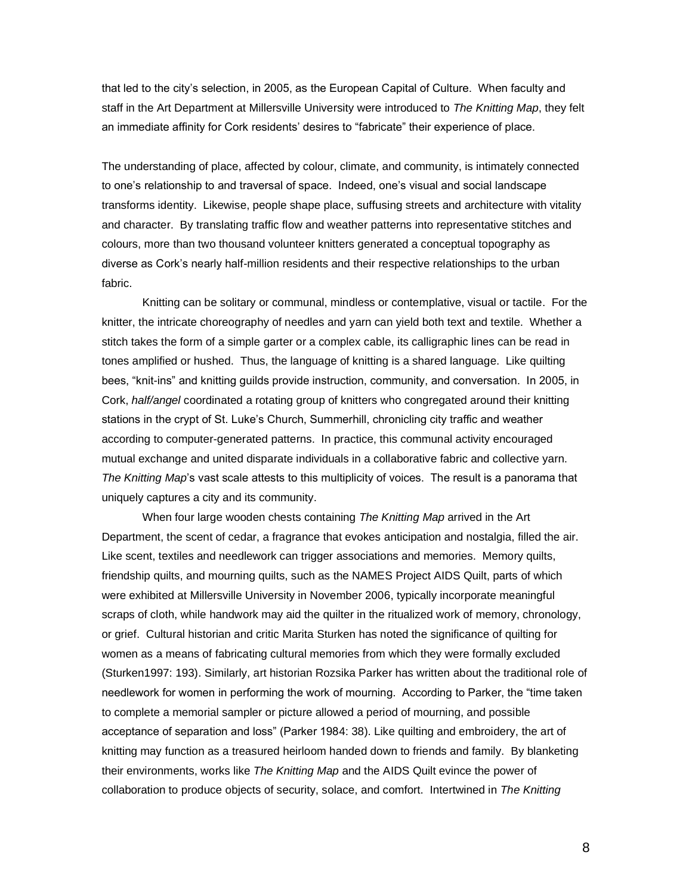that led to the city's selection, in 2005, as the European Capital of Culture. When faculty and staff in the Art Department at Millersville University were introduced to *The Knitting Map*, they felt an immediate affinity for Cork residents' desires to "fabricate" their experience of place.

The understanding of place, affected by colour, climate, and community, is intimately connected to one's relationship to and traversal of space. Indeed, one's visual and social landscape transforms identity. Likewise, people shape place, suffusing streets and architecture with vitality and character. By translating traffic flow and weather patterns into representative stitches and colours, more than two thousand volunteer knitters generated a conceptual topography as diverse as Cork's nearly half-million residents and their respective relationships to the urban fabric.

Knitting can be solitary or communal, mindless or contemplative, visual or tactile. For the knitter, the intricate choreography of needles and yarn can yield both text and textile. Whether a stitch takes the form of a simple garter or a complex cable, its calligraphic lines can be read in tones amplified or hushed. Thus, the language of knitting is a shared language. Like quilting bees, "knit-ins" and knitting guilds provide instruction, community, and conversation. In 2005, in Cork, *half/angel* coordinated a rotating group of knitters who congregated around their knitting stations in the crypt of St. Luke's Church, Summerhill, chronicling city traffic and weather according to computer-generated patterns. In practice, this communal activity encouraged mutual exchange and united disparate individuals in a collaborative fabric and collective yarn. *The Knitting Map*'s vast scale attests to this multiplicity of voices. The result is a panorama that uniquely captures a city and its community.

When four large wooden chests containing *The Knitting Map* arrived in the Art Department, the scent of cedar, a fragrance that evokes anticipation and nostalgia, filled the air. Like scent, textiles and needlework can trigger associations and memories. Memory quilts, friendship quilts, and mourning quilts, such as the NAMES Project AIDS Quilt, parts of which were exhibited at Millersville University in November 2006, typically incorporate meaningful scraps of cloth, while handwork may aid the quilter in the ritualized work of memory, chronology, or grief. Cultural historian and critic Marita Sturken has noted the significance of quilting for women as a means of fabricating cultural memories from which they were formally excluded (Sturken1997: 193). Similarly, art historian Rozsika Parker has written about the traditional role of needlework for women in performing the work of mourning. According to Parker, the "time taken to complete a memorial sampler or picture allowed a period of mourning, and possible acceptance of separation and loss" (Parker 1984: 38). Like quilting and embroidery, the art of knitting may function as a treasured heirloom handed down to friends and family. By blanketing their environments, works like *The Knitting Map* and the AIDS Quilt evince the power of collaboration to produce objects of security, solace, and comfort. Intertwined in *The Knitting*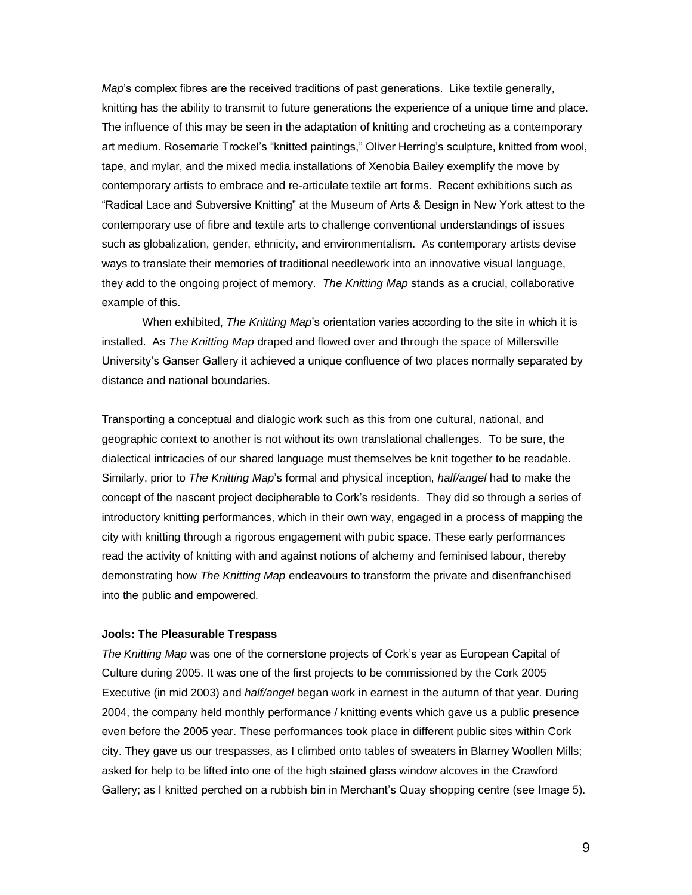*Map*'s complex fibres are the received traditions of past generations. Like textile generally, knitting has the ability to transmit to future generations the experience of a unique time and place. The influence of this may be seen in the adaptation of knitting and crocheting as a contemporary art medium. Rosemarie Trockel's "knitted paintings," Oliver Herring's sculpture, knitted from wool, tape, and mylar, and the mixed media installations of Xenobia Bailey exemplify the move by contemporary artists to embrace and re-articulate textile art forms. Recent exhibitions such as "Radical Lace and Subversive Knitting" at the Museum of Arts & Design in New York attest to the contemporary use of fibre and textile arts to challenge conventional understandings of issues such as globalization, gender, ethnicity, and environmentalism. As contemporary artists devise ways to translate their memories of traditional needlework into an innovative visual language, they add to the ongoing project of memory. *The Knitting Map* stands as a crucial, collaborative example of this.

When exhibited, *The Knitting Map*'s orientation varies according to the site in which it is installed. As *The Knitting Map* draped and flowed over and through the space of Millersville University's Ganser Gallery it achieved a unique confluence of two places normally separated by distance and national boundaries.

Transporting a conceptual and dialogic work such as this from one cultural, national, and geographic context to another is not without its own translational challenges. To be sure, the dialectical intricacies of our shared language must themselves be knit together to be readable. Similarly, prior to *The Knitting Map*'s formal and physical inception, *half/angel* had to make the concept of the nascent project decipherable to Cork's residents. They did so through a series of introductory knitting performances, which in their own way, engaged in a process of mapping the city with knitting through a rigorous engagement with pubic space. These early performances read the activity of knitting with and against notions of alchemy and feminised labour, thereby demonstrating how *The Knitting Map* endeavours to transform the private and disenfranchised into the public and empowered.

# **Jools: The Pleasurable Trespass**

*The Knitting Map* was one of the cornerstone projects of Cork's year as European Capital of Culture during 2005. It was one of the first projects to be commissioned by the Cork 2005 Executive (in mid 2003) and *half/angel* began work in earnest in the autumn of that year. During 2004, the company held monthly performance / knitting events which gave us a public presence even before the 2005 year. These performances took place in different public sites within Cork city. They gave us our trespasses, as I climbed onto tables of sweaters in Blarney Woollen Mills; asked for help to be lifted into one of the high stained glass window alcoves in the Crawford Gallery; as I knitted perched on a rubbish bin in Merchant's Quay shopping centre (see Image 5).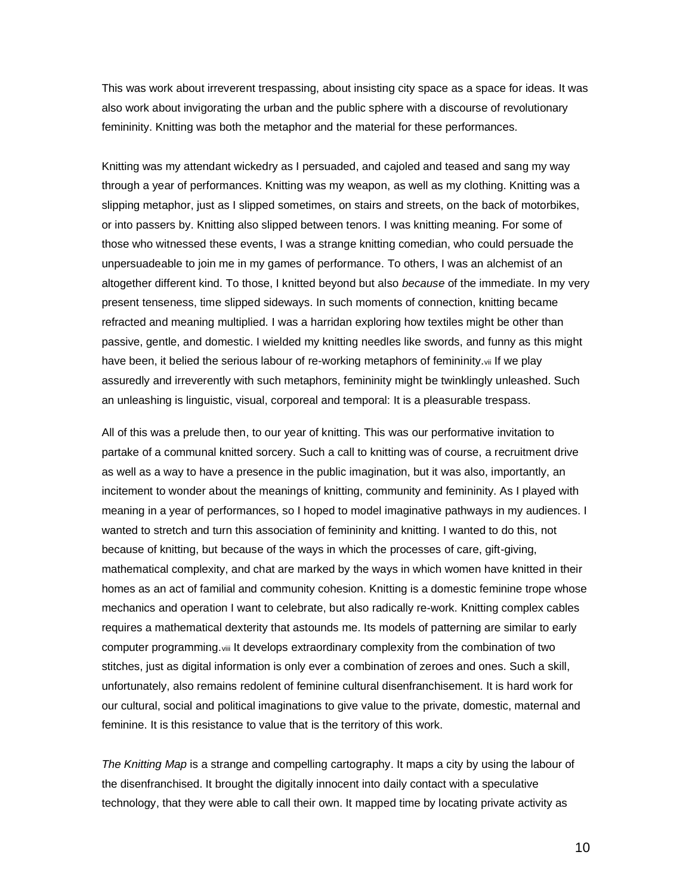This was work about irreverent trespassing, about insisting city space as a space for ideas. It was also work about invigorating the urban and the public sphere with a discourse of revolutionary femininity. Knitting was both the metaphor and the material for these performances.

Knitting was my attendant wickedry as I persuaded, and cajoled and teased and sang my way through a year of performances. Knitting was my weapon, as well as my clothing. Knitting was a slipping metaphor, just as I slipped sometimes, on stairs and streets, on the back of motorbikes, or into passers by. Knitting also slipped between tenors. I was knitting meaning. For some of those who witnessed these events, I was a strange knitting comedian, who could persuade the unpersuadeable to join me in my games of performance. To others, I was an alchemist of an altogether different kind. To those, I knitted beyond but also *because* of the immediate. In my very present tenseness, time slipped sideways. In such moments of connection, knitting became refracted and meaning multiplied. I was a harridan exploring how textiles might be other than passive, gentle, and domestic. I wielded my knitting needles like swords, and funny as this might have been, it belied the serious labour of re-working metaphors of femininity.vii If we play assuredly and irreverently with such metaphors, femininity might be twinklingly unleashed. Such an unleashing is linguistic, visual, corporeal and temporal: It is a pleasurable trespass.

All of this was a prelude then, to our year of knitting. This was our performative invitation to partake of a communal knitted sorcery. Such a call to knitting was of course, a recruitment drive as well as a way to have a presence in the public imagination, but it was also, importantly, an incitement to wonder about the meanings of knitting, community and femininity. As I played with meaning in a year of performances, so I hoped to model imaginative pathways in my audiences. I wanted to stretch and turn this association of femininity and knitting. I wanted to do this, not because of knitting, but because of the ways in which the processes of care, gift-giving, mathematical complexity, and chat are marked by the ways in which women have knitted in their homes as an act of familial and community cohesion. Knitting is a domestic feminine trope whose mechanics and operation I want to celebrate, but also radically re-work. Knitting complex cables requires a mathematical dexterity that astounds me. Its models of patterning are similar to early computer programming.viii It develops extraordinary complexity from the combination of two stitches, just as digital information is only ever a combination of zeroes and ones. Such a skill, unfortunately, also remains redolent of feminine cultural disenfranchisement. It is hard work for our cultural, social and political imaginations to give value to the private, domestic, maternal and feminine. It is this resistance to value that is the territory of this work.

*The Knitting Map* is a strange and compelling cartography. It maps a city by using the labour of the disenfranchised. It brought the digitally innocent into daily contact with a speculative technology, that they were able to call their own. It mapped time by locating private activity as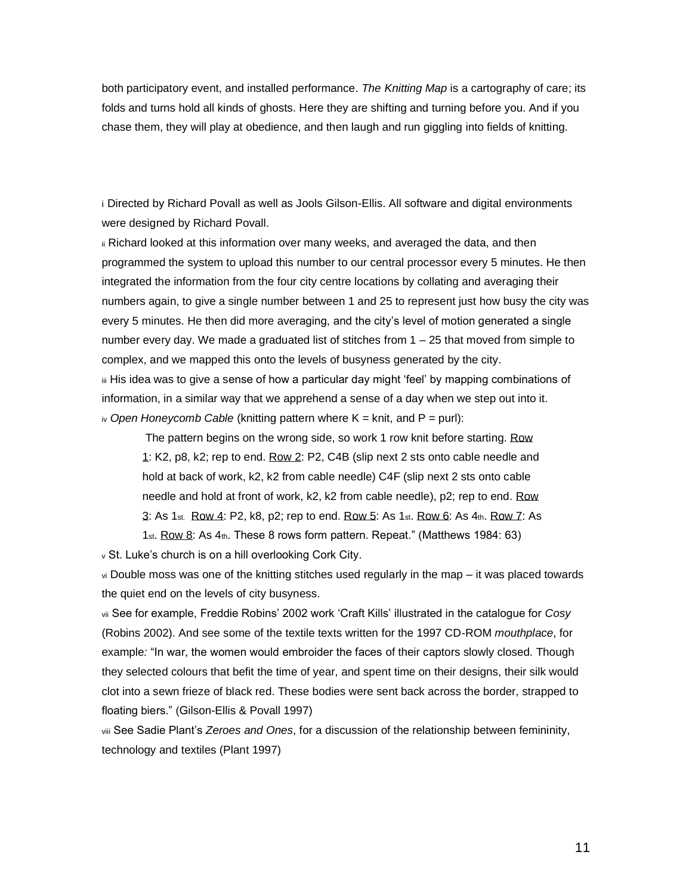both participatory event, and installed performance. *The Knitting Map* is a cartography of care; its folds and turns hold all kinds of ghosts. Here they are shifting and turning before you. And if you chase them, they will play at obedience, and then laugh and run giggling into fields of knitting.

i Directed by Richard Povall as well as Jools Gilson-Ellis. All software and digital environments were designed by Richard Povall.

ii Richard looked at this information over many weeks, and averaged the data, and then programmed the system to upload this number to our central processor every 5 minutes. He then integrated the information from the four city centre locations by collating and averaging their numbers again, to give a single number between 1 and 25 to represent just how busy the city was every 5 minutes. He then did more averaging, and the city's level of motion generated a single number every day. We made a graduated list of stitches from 1 – 25 that moved from simple to complex, and we mapped this onto the levels of busyness generated by the city.

iii His idea was to give a sense of how a particular day might 'feel' by mapping combinations of information, in a similar way that we apprehend a sense of a day when we step out into it. iv *Open Honeycomb Cable* (knitting pattern where K = knit, and P = purl):

The pattern begins on the wrong side, so work 1 row knit before starting. Row 1: K2, p8, k2; rep to end. Row 2: P2, C4B (slip next 2 sts onto cable needle and hold at back of work, k2, k2 from cable needle) C4F (slip next 2 sts onto cable needle and hold at front of work, k2, k2 from cable needle), p2; rep to end. Row 3: As 1st. Row 4: P2, k8, p2; rep to end. Row 5: As 1st. Row 6: As 4th. Row 7: As

1st. Row 8: As 4th. These 8 rows form pattern. Repeat." (Matthews 1984: 63) <sup>v</sup> St. Luke's church is on a hill overlooking Cork City.

vi Double moss was one of the knitting stitches used regularly in the map – it was placed towards the quiet end on the levels of city busyness.

vii See for example, Freddie Robins' 2002 work 'Craft Kills' illustrated in the catalogue for *Cosy* (Robins 2002). And see some of the textile texts written for the 1997 CD-ROM *mouthplace*, for example*:* "In war, the women would embroider the faces of their captors slowly closed. Though they selected colours that befit the time of year, and spent time on their designs, their silk would clot into a sewn frieze of black red. These bodies were sent back across the border, strapped to floating biers." (Gilson-Ellis & Povall 1997)

viii See Sadie Plant's *Zeroes and Ones*, for a discussion of the relationship between femininity, technology and textiles (Plant 1997)